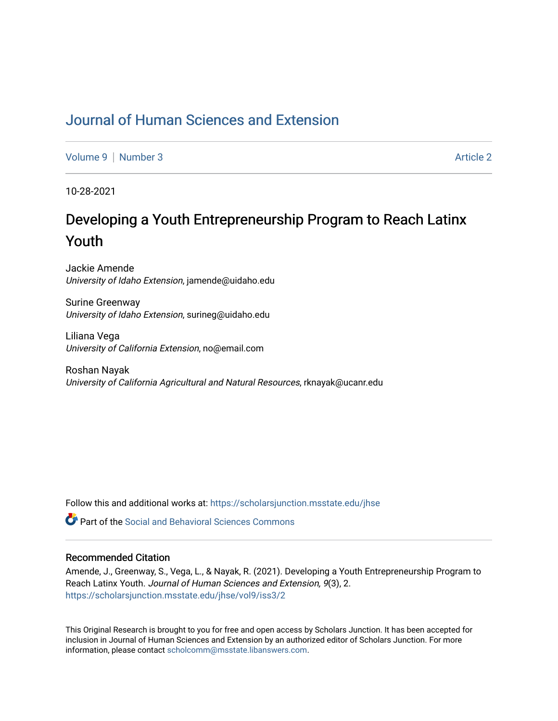## [Journal of Human Sciences and Extension](https://scholarsjunction.msstate.edu/jhse)

[Volume 9](https://scholarsjunction.msstate.edu/jhse/vol9) | [Number 3](https://scholarsjunction.msstate.edu/jhse/vol9/iss3) Article 2

10-28-2021

# Developing a Youth Entrepreneurship Program to Reach Latinx Youth

Jackie Amende University of Idaho Extension, jamende@uidaho.edu

Surine Greenway University of Idaho Extension, surineg@uidaho.edu

Liliana Vega University of California Extension, no@email.com

Roshan Nayak University of California Agricultural and Natural Resources, rknayak@ucanr.edu

Follow this and additional works at: [https://scholarsjunction.msstate.edu/jhse](https://scholarsjunction.msstate.edu/jhse?utm_source=scholarsjunction.msstate.edu%2Fjhse%2Fvol9%2Fiss3%2F2&utm_medium=PDF&utm_campaign=PDFCoverPages)

**C** Part of the Social and Behavioral Sciences Commons

#### Recommended Citation

Amende, J., Greenway, S., Vega, L., & Nayak, R. (2021). Developing a Youth Entrepreneurship Program to Reach Latinx Youth. Journal of Human Sciences and Extension, 9(3), 2. [https://scholarsjunction.msstate.edu/jhse/vol9/iss3/2](https://scholarsjunction.msstate.edu/jhse/vol9/iss3/2?utm_source=scholarsjunction.msstate.edu%2Fjhse%2Fvol9%2Fiss3%2F2&utm_medium=PDF&utm_campaign=PDFCoverPages)

This Original Research is brought to you for free and open access by Scholars Junction. It has been accepted for inclusion in Journal of Human Sciences and Extension by an authorized editor of Scholars Junction. For more information, please contact [scholcomm@msstate.libanswers.com](mailto:scholcomm@msstate.libanswers.com).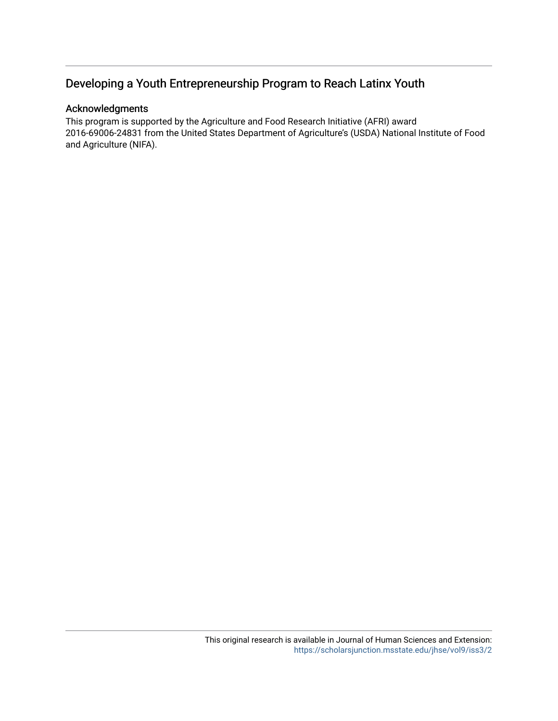## Developing a Youth Entrepreneurship Program to Reach Latinx Youth

## Acknowledgments

This program is supported by the Agriculture and Food Research Initiative (AFRI) award 2016-69006-24831 from the United States Department of Agriculture's (USDA) National Institute of Food and Agriculture (NIFA).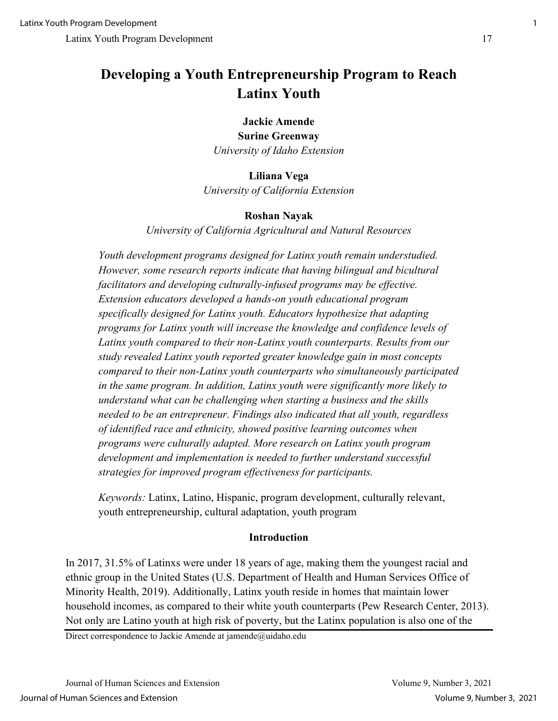## **Developing a Youth Entrepreneurship Program to Reach Latinx Youth**

## **Jackie Amende**

**Surine Greenway**  *University of Idaho Extension* 

## **Liliana Vega**

*University of California Extension*

## **Roshan Nayak**

*University of California Agricultural and Natural Resources* 

*Youth development programs designed for Latinx youth remain understudied. However, some research reports indicate that having bilingual and bicultural facilitators and developing culturally-infused programs may be effective. Extension educators developed a hands-on youth educational program specifically designed for Latinx youth. Educators hypothesize that adapting programs for Latinx youth will increase the knowledge and confidence levels of Latinx youth compared to their non-Latinx youth counterparts. Results from our study revealed Latinx youth reported greater knowledge gain in most concepts compared to their non-Latinx youth counterparts who simultaneously participated in the same program. In addition, Latinx youth were significantly more likely to understand what can be challenging when starting a business and the skills needed to be an entrepreneur. Findings also indicated that all youth, regardless of identified race and ethnicity, showed positive learning outcomes when programs were culturally adapted. More research on Latinx youth program development and implementation is needed to further understand successful strategies for improved program effectiveness for participants.* 

*Keywords:* Latinx, Latino, Hispanic, program development, culturally relevant, youth entrepreneurship, cultural adaptation, youth program

## **Introduction**

In 2017, 31.5% of Latinxs were under 18 years of age, making them the youngest racial and ethnic group in the United States (U.S. Department of Health and Human Services Office of Minority Health, 2019). Additionally, Latinx youth reside in homes that maintain lower household incomes, as compared to their white youth counterparts (Pew Research Center, 2013). Not only are Latino youth at high risk of poverty, but the Latinx population is also one of the

Direct correspondence to Jackie Amende at jamende@uidaho.edu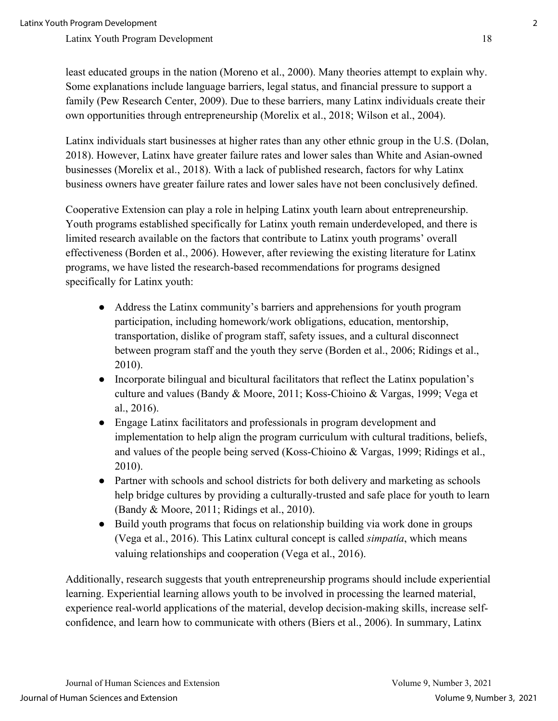least educated groups in the nation (Moreno et al., 2000). Many theories attempt to explain why. Some explanations include language barriers, legal status, and financial pressure to support a family (Pew Research Center, 2009). Due to these barriers, many Latinx individuals create their own opportunities through entrepreneurship (Morelix et al., 2018; Wilson et al., 2004).

Latinx individuals start businesses at higher rates than any other ethnic group in the U.S. (Dolan, 2018). However, Latinx have greater failure rates and lower sales than White and Asian-owned businesses (Morelix et al., 2018). With a lack of published research, factors for why Latinx business owners have greater failure rates and lower sales have not been conclusively defined.

Cooperative Extension can play a role in helping Latinx youth learn about entrepreneurship. Youth programs established specifically for Latinx youth remain underdeveloped, and there is limited research available on the factors that contribute to Latinx youth programs' overall effectiveness (Borden et al., 2006). However, after reviewing the existing literature for Latinx programs, we have listed the research-based recommendations for programs designed specifically for Latinx youth:

- Address the Latinx community's barriers and apprehensions for youth program participation, including homework/work obligations, education, mentorship, transportation, dislike of program staff, safety issues, and a cultural disconnect between program staff and the youth they serve (Borden et al., 2006; Ridings et al., 2010).
- Incorporate bilingual and bicultural facilitators that reflect the Latinx population's culture and values (Bandy & Moore, 2011; Koss-Chioino & Vargas, 1999; Vega et al., 2016).
- Engage Latinx facilitators and professionals in program development and implementation to help align the program curriculum with cultural traditions, beliefs, and values of the people being served (Koss-Chioino & Vargas, 1999; Ridings et al., 2010).
- Partner with schools and school districts for both delivery and marketing as schools help bridge cultures by providing a culturally-trusted and safe place for youth to learn (Bandy & Moore, 2011; Ridings et al., 2010).
- Build youth programs that focus on relationship building via work done in groups (Vega et al., 2016). This Latinx cultural concept is called *simpatía*, which means valuing relationships and cooperation (Vega et al., 2016).

Additionally, research suggests that youth entrepreneurship programs should include experiential learning. Experiential learning allows youth to be involved in processing the learned material, experience real-world applications of the material, develop decision-making skills, increase selfconfidence, and learn how to communicate with others (Biers et al., 2006). In summary, Latinx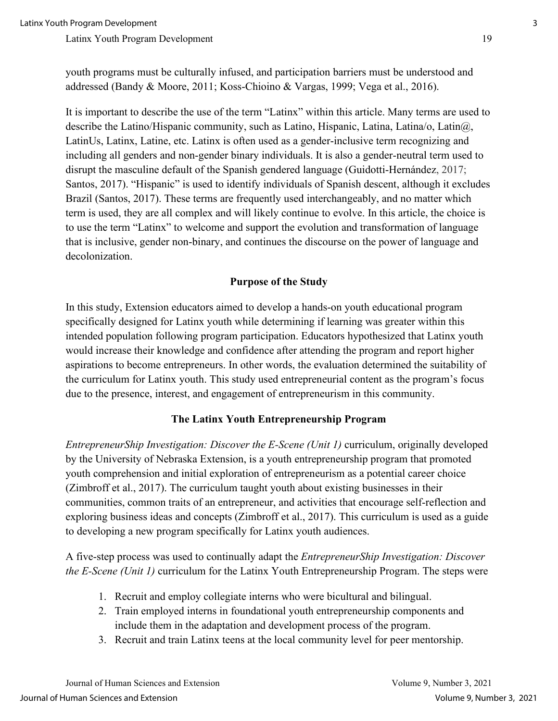youth programs must be culturally infused, and participation barriers must be understood and addressed (Bandy & Moore, 2011; Koss-Chioino & Vargas, 1999; Vega et al., 2016).

It is important to describe the use of the term "Latinx" within this article. Many terms are used to describe the Latino/Hispanic community, such as Latino, Hispanic, Latina, Latina/o, Latin $\omega$ , LatinUs, Latinx, Latine, etc. Latinx is often used as a gender-inclusive term recognizing and including all genders and non-gender binary individuals. It is also a gender-neutral term used to disrupt the masculine default of the Spanish gendered language (Guidotti-Hernández, 2017; Santos, 2017). "Hispanic" is used to identify individuals of Spanish descent, although it excludes Brazil (Santos, 2017). These terms are frequently used interchangeably, and no matter which term is used, they are all complex and will likely continue to evolve. In this article, the choice is to use the term "Latinx" to welcome and support the evolution and transformation of language that is inclusive, gender non-binary, and continues the discourse on the power of language and decolonization.

## **Purpose of the Study**

In this study, Extension educators aimed to develop a hands-on youth educational program specifically designed for Latinx youth while determining if learning was greater within this intended population following program participation. Educators hypothesized that Latinx youth would increase their knowledge and confidence after attending the program and report higher aspirations to become entrepreneurs. In other words, the evaluation determined the suitability of the curriculum for Latinx youth. This study used entrepreneurial content as the program's focus due to the presence, interest, and engagement of entrepreneurism in this community.

## **The Latinx Youth Entrepreneurship Program**

*EntrepreneurShip Investigation: Discover the E-Scene (Unit 1)* curriculum, originally developed by the University of Nebraska Extension, is a youth entrepreneurship program that promoted youth comprehension and initial exploration of entrepreneurism as a potential career choice (Zimbroff et al., 2017). The curriculum taught youth about existing businesses in their communities, common traits of an entrepreneur, and activities that encourage self-reflection and exploring business ideas and concepts (Zimbroff et al., 2017). This curriculum is used as a guide to developing a new program specifically for Latinx youth audiences.

A five-step process was used to continually adapt the *EntrepreneurShip Investigation: Discover the E-Scene (Unit 1)* curriculum for the Latinx Youth Entrepreneurship Program. The steps were

- 1. Recruit and employ collegiate interns who were bicultural and bilingual.
- 2. Train employed interns in foundational youth entrepreneurship components and include them in the adaptation and development process of the program.
- 3. Recruit and train Latinx teens at the local community level for peer mentorship.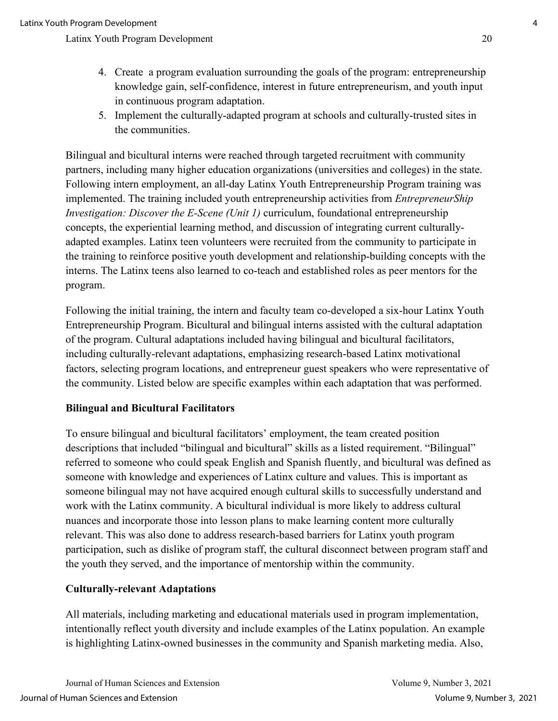- 4. Create a program evaluation surrounding the goals of the program: entrepreneurship knowledge gain, self-confidence, interest in future entrepreneurism, and youth input in continuous program adaptation.
- 5. Implement the culturally-adapted program at schools and culturally-trusted sites in the communities.

Bilingual and bicultural interns were reached through targeted recruitment with community partners, including many higher education organizations (universities and colleges) in the state. Following intern employment, an all-day Latinx Youth Entrepreneurship Program training was implemented. The training included youth entrepreneurship activities from *EntrepreneurShip Investigation: Discover the E-Scene (Unit 1)* curriculum, foundational entrepreneurship concepts, the experiential learning method, and discussion of integrating current culturallyadapted examples. Latinx teen volunteers were recruited from the community to participate in the training to reinforce positive youth development and relationship-building concepts with the interns. The Latinx teens also learned to co-teach and established roles as peer mentors for the program.

Following the initial training, the intern and faculty team co-developed a six-hour Latinx Youth Entrepreneurship Program. Bicultural and bilingual interns assisted with the cultural adaptation of the program. Cultural adaptations included having bilingual and bicultural facilitators, including culturally-relevant adaptations, emphasizing research-based Latinx motivational factors, selecting program locations, and entrepreneur guest speakers who were representative of the community. Listed below are specific examples within each adaptation that was performed.

## **Bilingual and Bicultural Facilitators**

To ensure bilingual and bicultural facilitators' employment, the team created position descriptions that included "bilingual and bicultural" skills as a listed requirement. "Bilingual" referred to someone who could speak English and Spanish fluently, and bicultural was defined as someone with knowledge and experiences of Latinx culture and values. This is important as someone bilingual may not have acquired enough cultural skills to successfully understand and work with the Latinx community. A bicultural individual is more likely to address cultural nuances and incorporate those into lesson plans to make learning content more culturally relevant. This was also done to address research-based barriers for Latinx youth program participation, such as dislike of program staff, the cultural disconnect between program staff and the youth they served, and the importance of mentorship within the community.

## **Culturally-relevant Adaptations**

All materials, including marketing and educational materials used in program implementation, intentionally reflect youth diversity and include examples of the Latinx population. An example is highlighting Latinx-owned businesses in the community and Spanish marketing media. Also,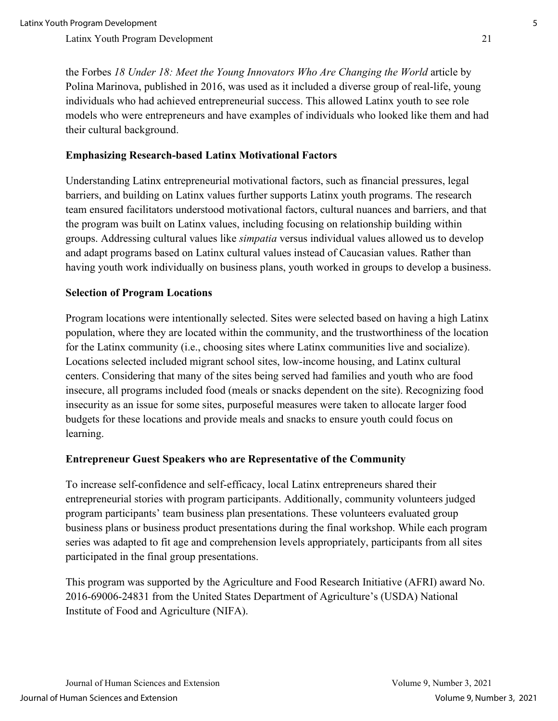the Forbes *18 Under 18: Meet the Young Innovators Who Are Changing the World* article by Polina Marinova, published in 2016, was used as it included a diverse group of real-life, young individuals who had achieved entrepreneurial success. This allowed Latinx youth to see role models who were entrepreneurs and have examples of individuals who looked like them and had their cultural background.

### **Emphasizing Research-based Latinx Motivational Factors**

Understanding Latinx entrepreneurial motivational factors, such as financial pressures, legal barriers, and building on Latinx values further supports Latinx youth programs. The research team ensured facilitators understood motivational factors, cultural nuances and barriers, and that the program was built on Latinx values, including focusing on relationship building within groups. Addressing cultural values like *simpatia* versus individual values allowed us to develop and adapt programs based on Latinx cultural values instead of Caucasian values. Rather than having youth work individually on business plans, youth worked in groups to develop a business.

#### **Selection of Program Locations**

Program locations were intentionally selected. Sites were selected based on having a high Latinx population, where they are located within the community, and the trustworthiness of the location for the Latinx community (i.e., choosing sites where Latinx communities live and socialize). Locations selected included migrant school sites, low-income housing, and Latinx cultural centers. Considering that many of the sites being served had families and youth who are food insecure, all programs included food (meals or snacks dependent on the site). Recognizing food insecurity as an issue for some sites, purposeful measures were taken to allocate larger food budgets for these locations and provide meals and snacks to ensure youth could focus on learning.

#### **Entrepreneur Guest Speakers who are Representative of the Community**

To increase self-confidence and self-efficacy, local Latinx entrepreneurs shared their entrepreneurial stories with program participants. Additionally, community volunteers judged program participants' team business plan presentations. These volunteers evaluated group business plans or business product presentations during the final workshop. While each program series was adapted to fit age and comprehension levels appropriately, participants from all sites participated in the final group presentations.

This program was supported by the Agriculture and Food Research Initiative (AFRI) award No. 2016-69006-24831 from the United States Department of Agriculture's (USDA) National Institute of Food and Agriculture (NIFA).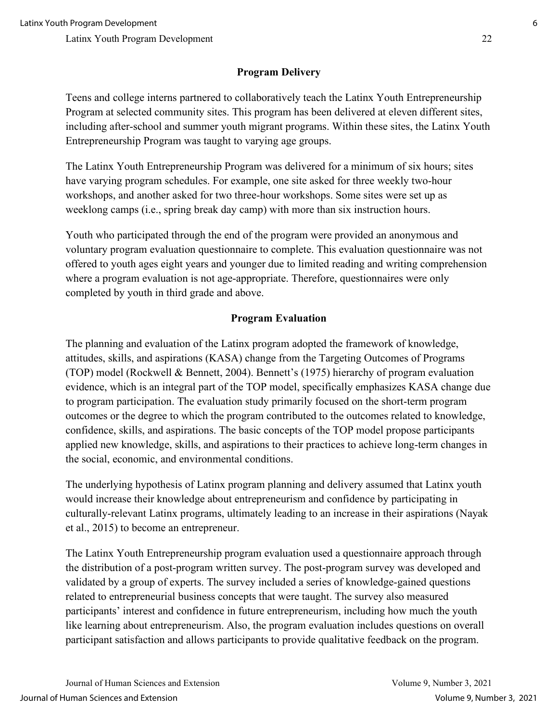## **Program Delivery**

Teens and college interns partnered to collaboratively teach the Latinx Youth Entrepreneurship Program at selected community sites. This program has been delivered at eleven different sites, including after-school and summer youth migrant programs. Within these sites, the Latinx Youth Entrepreneurship Program was taught to varying age groups.

The Latinx Youth Entrepreneurship Program was delivered for a minimum of six hours; sites have varying program schedules. For example, one site asked for three weekly two-hour workshops, and another asked for two three-hour workshops. Some sites were set up as weeklong camps (i.e., spring break day camp) with more than six instruction hours.

Youth who participated through the end of the program were provided an anonymous and voluntary program evaluation questionnaire to complete. This evaluation questionnaire was not offered to youth ages eight years and younger due to limited reading and writing comprehension where a program evaluation is not age-appropriate. Therefore, questionnaires were only completed by youth in third grade and above.

## **Program Evaluation**

The planning and evaluation of the Latinx program adopted the framework of knowledge, attitudes, skills, and aspirations (KASA) change from the Targeting Outcomes of Programs (TOP) model (Rockwell & Bennett, 2004). Bennett's (1975) hierarchy of program evaluation evidence, which is an integral part of the TOP model, specifically emphasizes KASA change due to program participation. The evaluation study primarily focused on the short-term program outcomes or the degree to which the program contributed to the outcomes related to knowledge, confidence, skills, and aspirations. The basic concepts of the TOP model propose participants applied new knowledge, skills, and aspirations to their practices to achieve long-term changes in the social, economic, and environmental conditions.

The underlying hypothesis of Latinx program planning and delivery assumed that Latinx youth would increase their knowledge about entrepreneurism and confidence by participating in culturally-relevant Latinx programs, ultimately leading to an increase in their aspirations (Nayak et al., 2015) to become an entrepreneur.

The Latinx Youth Entrepreneurship program evaluation used a questionnaire approach through the distribution of a post-program written survey. The post-program survey was developed and validated by a group of experts. The survey included a series of knowledge-gained questions related to entrepreneurial business concepts that were taught. The survey also measured participants' interest and confidence in future entrepreneurism, including how much the youth like learning about entrepreneurism. Also, the program evaluation includes questions on overall participant satisfaction and allows participants to provide qualitative feedback on the program.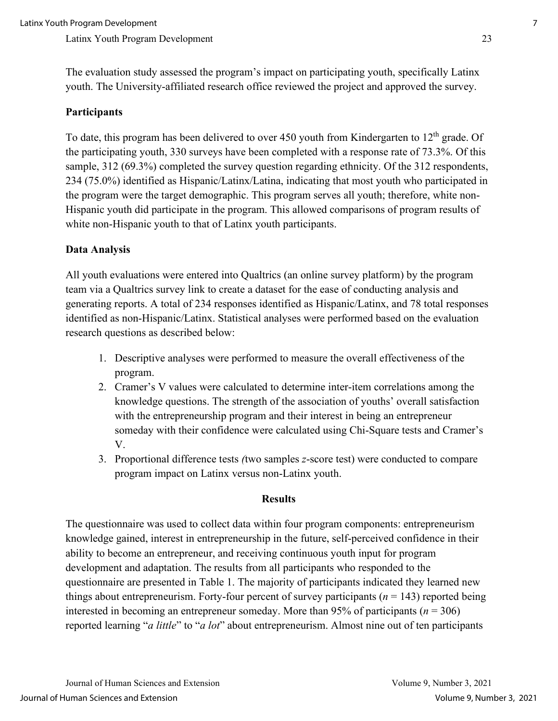The evaluation study assessed the program's impact on participating youth, specifically Latinx youth. The University-affiliated research office reviewed the project and approved the survey.

### **Participants**

To date, this program has been delivered to over 450 youth from Kindergarten to  $12<sup>th</sup>$  grade. Of the participating youth, 330 surveys have been completed with a response rate of 73.3%. Of this sample, 312 (69.3%) completed the survey question regarding ethnicity. Of the 312 respondents, 234 (75.0%) identified as Hispanic/Latinx/Latina, indicating that most youth who participated in the program were the target demographic. This program serves all youth; therefore, white non-Hispanic youth did participate in the program. This allowed comparisons of program results of white non-Hispanic youth to that of Latinx youth participants.

#### **Data Analysis**

All youth evaluations were entered into Qualtrics (an online survey platform) by the program team via a Qualtrics survey link to create a dataset for the ease of conducting analysis and generating reports. A total of 234 responses identified as Hispanic/Latinx, and 78 total responses identified as non-Hispanic/Latinx. Statistical analyses were performed based on the evaluation research questions as described below:

- 1. Descriptive analyses were performed to measure the overall effectiveness of the program.
- 2. Cramer's V values were calculated to determine inter-item correlations among the knowledge questions. The strength of the association of youths' overall satisfaction with the entrepreneurship program and their interest in being an entrepreneur someday with their confidence were calculated using Chi-Square tests and Cramer's V.
- 3. Proportional difference tests *(*two samples *z*-score test) were conducted to compare program impact on Latinx versus non-Latinx youth.

#### **Results**

The questionnaire was used to collect data within four program components: entrepreneurism knowledge gained, interest in entrepreneurship in the future, self-perceived confidence in their ability to become an entrepreneur, and receiving continuous youth input for program development and adaptation. The results from all participants who responded to the questionnaire are presented in Table 1. The majority of participants indicated they learned new things about entrepreneurism. Forty-four percent of survey participants (*n* = 143) reported being interested in becoming an entrepreneur someday. More than 95% of participants ( $n = 306$ ) reported learning "*a little*" to "*a lot*" about entrepreneurism. Almost nine out of ten participants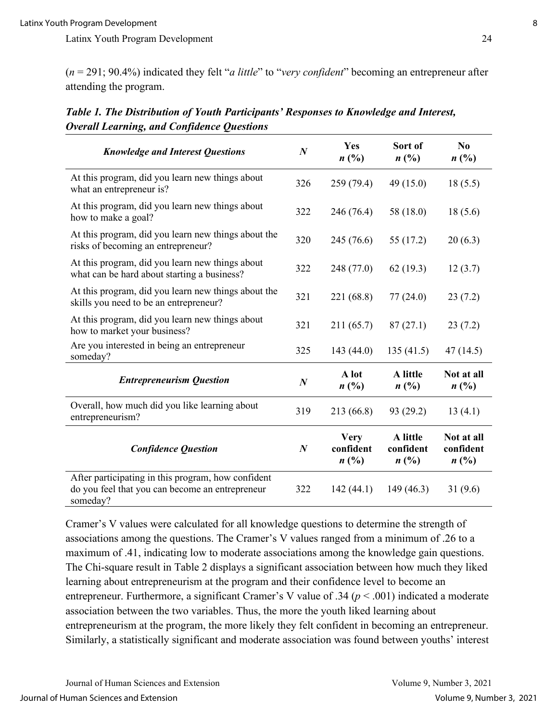(*n* = 291; 90.4%) indicated they felt "*a little*" to "*very confident*" becoming an entrepreneur after attending the program.

| <b>Knowledge and Interest Questions</b>                                                                           | $\boldsymbol{N}$ | Yes<br>$n(^{0}/_{0})$                                   | Sort of<br>n(%)                         | N <sub>0</sub><br>n(%)          |
|-------------------------------------------------------------------------------------------------------------------|------------------|---------------------------------------------------------|-----------------------------------------|---------------------------------|
| At this program, did you learn new things about<br>what an entrepreneur is?                                       | 326              | 259 (79.4)                                              | 49 (15.0)                               | 18(5.5)                         |
| At this program, did you learn new things about<br>how to make a goal?                                            | 322              | 246 (76.4)                                              | 58 (18.0)                               | 18(5.6)                         |
| At this program, did you learn new things about the<br>risks of becoming an entrepreneur?                         | 320              | 245 (76.6)                                              | 55 (17.2)                               | 20(6.3)                         |
| At this program, did you learn new things about<br>what can be hard about starting a business?                    | 322              | 248 (77.0)                                              | 62(19.3)                                | 12(3.7)                         |
| At this program, did you learn new things about the<br>skills you need to be an entrepreneur?                     | 321              | 221 (68.8)                                              | 77(24.0)                                | 23(7.2)                         |
| At this program, did you learn new things about<br>how to market your business?                                   | 321              | 211 (65.7)                                              | 87(27.1)                                | 23(7.2)                         |
| Are you interested in being an entrepreneur<br>someday?                                                           | 325              | 143(44.0)                                               | 135(41.5)                               | 47(14.5)                        |
| <b>Entrepreneurism Question</b>                                                                                   | $\boldsymbol{N}$ | A lot<br>n(%)                                           | A little<br>$n(^{0}/_{0})$              | Not at all<br>$n(^{0}/_{0})$    |
| Overall, how much did you like learning about<br>entrepreneurism?                                                 | 319              | 213 (66.8)                                              | 93 (29.2)                               | 13(4.1)                         |
| <b>Confidence Question</b>                                                                                        | $\boldsymbol{N}$ | <b>Very</b><br>confident<br>$n\left(\frac{0}{0}\right)$ | A little<br>confident<br>$n(^{0}/_{0})$ | Not at all<br>confident<br>n(%) |
| After participating in this program, how confident<br>do you feel that you can become an entrepreneur<br>someday? | 322              | 142(44.1)                                               | 149(46.3)                               | 31(9.6)                         |

*Table 1. The Distribution of Youth Participants' Responses to Knowledge and Interest, Overall Learning, and Confidence Questions* 

Cramer's V values were calculated for all knowledge questions to determine the strength of associations among the questions. The Cramer's V values ranged from a minimum of .26 to a maximum of .41, indicating low to moderate associations among the knowledge gain questions. The Chi-square result in Table 2 displays a significant association between how much they liked learning about entrepreneurism at the program and their confidence level to become an entrepreneur. Furthermore, a significant Cramer's V value of .34 (*p* < .001) indicated a moderate association between the two variables. Thus, the more the youth liked learning about entrepreneurism at the program, the more likely they felt confident in becoming an entrepreneur. Similarly, a statistically significant and moderate association was found between youths' interest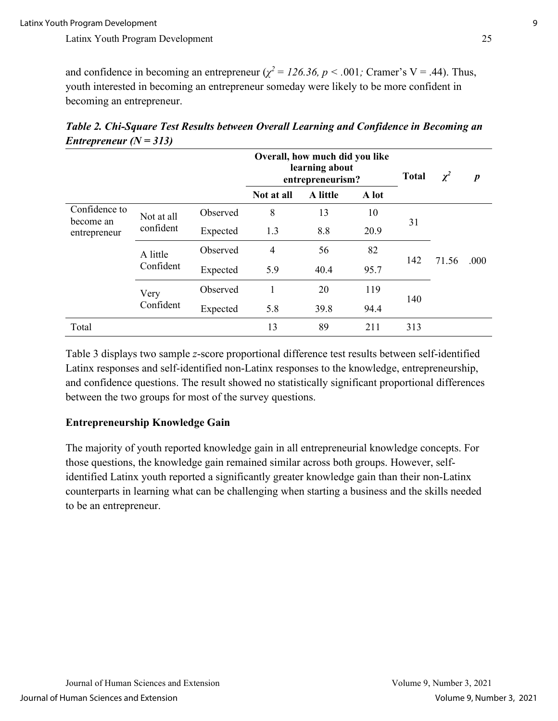and confidence in becoming an entrepreneur ( $\chi^2 = 126.36$ ,  $p < .001$ ; Cramer's V = .44). Thus, youth interested in becoming an entrepreneur someday were likely to be more confident in becoming an entrepreneur.

|                                            | ╭                     |          | Overall, how much did you like<br>learning about<br>entrepreneurism? |          |       | <b>Total</b> | $\chi^2$ | $\boldsymbol{p}$ |
|--------------------------------------------|-----------------------|----------|----------------------------------------------------------------------|----------|-------|--------------|----------|------------------|
|                                            |                       |          | Not at all                                                           | A little | A lot |              |          |                  |
| Confidence to<br>become an<br>entrepreneur | Not at all            | Observed | 8                                                                    | 13       | 10    |              | 71.56    | .000             |
|                                            | confident             | Expected | 1.3                                                                  | 8.8      | 20.9  | 31           |          |                  |
|                                            | A little<br>Confident | Observed | $\overline{4}$                                                       | 56       | 82    | 142          |          |                  |
|                                            |                       | Expected | 5.9                                                                  | 40.4     | 95.7  |              |          |                  |
|                                            | Very<br>Confident     | Observed | 1                                                                    | 20       | 119   |              |          |                  |
|                                            |                       | Expected | 5.8                                                                  | 39.8     | 94.4  | 140          |          |                  |
| Total                                      |                       |          | 13                                                                   | 89       | 211   | 313          |          |                  |

*Table 2. Chi-Square Test Results between Overall Learning and Confidence in Becoming an Entrepreneur (N = 313)* 

Table 3 displays two sample *z*-score proportional difference test results between self-identified Latinx responses and self-identified non-Latinx responses to the knowledge, entrepreneurship, and confidence questions. The result showed no statistically significant proportional differences between the two groups for most of the survey questions.

## **Entrepreneurship Knowledge Gain**

The majority of youth reported knowledge gain in all entrepreneurial knowledge concepts. For those questions, the knowledge gain remained similar across both groups. However, selfidentified Latinx youth reported a significantly greater knowledge gain than their non-Latinx counterparts in learning what can be challenging when starting a business and the skills needed to be an entrepreneur.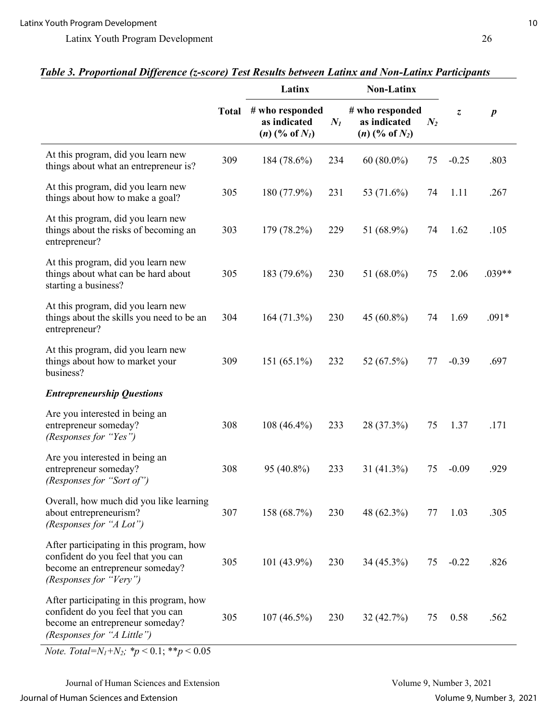|                                                                                                                                                 |              | Latinx                                                 |       | <b>Non-Latinx</b>                                      |       |         |                  |
|-------------------------------------------------------------------------------------------------------------------------------------------------|--------------|--------------------------------------------------------|-------|--------------------------------------------------------|-------|---------|------------------|
|                                                                                                                                                 | <b>Total</b> | # who responded<br>as indicated<br>$(n)$ (% of $N_I$ ) | $N_I$ | # who responded<br>as indicated<br>$(n)$ (% of $N_2$ ) | $N_2$ | Z,      | $\boldsymbol{p}$ |
| At this program, did you learn new<br>things about what an entrepreneur is?                                                                     | 309          | 184 (78.6%)                                            | 234   | $60(80.0\%)$                                           | 75    | $-0.25$ | .803             |
| At this program, did you learn new<br>things about how to make a goal?                                                                          | 305          | 180 (77.9%)                                            | 231   | 53 (71.6%)                                             | 74    | 1.11    | .267             |
| At this program, did you learn new<br>things about the risks of becoming an<br>entrepreneur?                                                    | 303          | 179 (78.2%)                                            | 229   | 51 (68.9%)                                             | 74    | 1.62    | .105             |
| At this program, did you learn new<br>things about what can be hard about<br>starting a business?                                               | 305          | 183 (79.6%)                                            | 230   | 51 (68.0%)                                             | 75    | 2.06    | $.039**$         |
| At this program, did you learn new<br>things about the skills you need to be an<br>entrepreneur?                                                | 304          | 164 (71.3%)                                            | 230   | 45 (60.8%)                                             | 74    | 1.69    | $.091*$          |
| At this program, did you learn new<br>things about how to market your<br>business?                                                              | 309          | 151 (65.1%)                                            | 232   | 52 (67.5%)                                             | 77    | $-0.39$ | .697             |
| <b>Entrepreneurship Questions</b>                                                                                                               |              |                                                        |       |                                                        |       |         |                  |
| Are you interested in being an<br>entrepreneur someday?<br>(Responses for "Yes")                                                                | 308          | 108 (46.4%)                                            | 233   | 28 (37.3%)                                             | 75    | 1.37    | .171             |
| Are you interested in being an<br>entrepreneur someday?<br>(Responses for "Sort of")                                                            | 308          | 95 (40.8%)                                             | 233   | 31 (41.3%)                                             | 75    | $-0.09$ | .929             |
| Overall, how much did you like learning<br>about entrepreneurism?<br>(Responses for "A Lot")                                                    | 307          | 158 (68.7%)                                            | 230   | 48 (62.3%)                                             | 77    | 1.03    | .305             |
| After participating in this program, how<br>confident do you feel that you can<br>become an entrepreneur someday?<br>(Responses for "Very")     | 305          | $101(43.9\%)$                                          | 230   | $34(45.3\%)$                                           | 75    | $-0.22$ | .826             |
| After participating in this program, how<br>confident do you feel that you can<br>become an entrepreneur someday?<br>(Responses for "A Little") | 305          | $107(46.5\%)$                                          | 230   | 32(42.7%)                                              | 75    | 0.58    | .562             |

## *Table 3. Proportional Difference (z-score) Test Results between Latinx and Non-Latinx Participants*

*Note. Total=N<sub>1</sub>+N<sub>2</sub>*; \* $p < 0.1$ ; \*\* $p < 0.05$ 

Journal of Human Sciences and Extension Volume 9, Number 3, 2021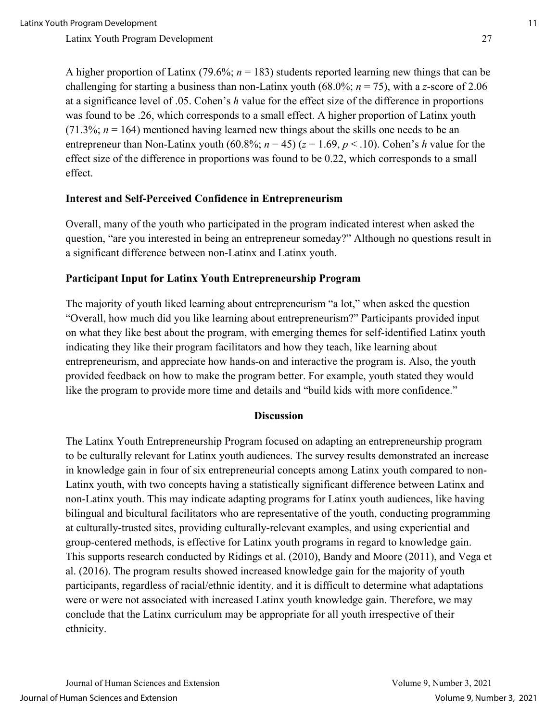A higher proportion of Latinx (79.6%; *n* = 183) students reported learning new things that can be challenging for starting a business than non-Latinx youth (68.0%;  $n = 75$ ), with a *z*-score of 2.06 at a significance level of .05. Cohen's *h* value for the effect size of the difference in proportions was found to be .26, which corresponds to a small effect. A higher proportion of Latinx youth  $(71.3\%; n = 164)$  mentioned having learned new things about the skills one needs to be an entrepreneur than Non-Latinx youth (60.8%;  $n = 45$ ) ( $z = 1.69$ ,  $p < .10$ ). Cohen's *h* value for the effect size of the difference in proportions was found to be 0.22, which corresponds to a small effect.

#### **Interest and Self-Perceived Confidence in Entrepreneurism**

Overall, many of the youth who participated in the program indicated interest when asked the question, "are you interested in being an entrepreneur someday?" Although no questions result in a significant difference between non-Latinx and Latinx youth.

#### **Participant Input for Latinx Youth Entrepreneurship Program**

The majority of youth liked learning about entrepreneurism "a lot," when asked the question "Overall, how much did you like learning about entrepreneurism?" Participants provided input on what they like best about the program, with emerging themes for self-identified Latinx youth indicating they like their program facilitators and how they teach, like learning about entrepreneurism, and appreciate how hands-on and interactive the program is. Also, the youth provided feedback on how to make the program better. For example, youth stated they would like the program to provide more time and details and "build kids with more confidence."

### **Discussion**

The Latinx Youth Entrepreneurship Program focused on adapting an entrepreneurship program to be culturally relevant for Latinx youth audiences. The survey results demonstrated an increase in knowledge gain in four of six entrepreneurial concepts among Latinx youth compared to non-Latinx youth, with two concepts having a statistically significant difference between Latinx and non-Latinx youth. This may indicate adapting programs for Latinx youth audiences, like having bilingual and bicultural facilitators who are representative of the youth, conducting programming at culturally-trusted sites, providing culturally-relevant examples, and using experiential and group-centered methods, is effective for Latinx youth programs in regard to knowledge gain. This supports research conducted by Ridings et al. (2010), Bandy and Moore (2011), and Vega et al. (2016). The program results showed increased knowledge gain for the majority of youth participants, regardless of racial/ethnic identity, and it is difficult to determine what adaptations were or were not associated with increased Latinx youth knowledge gain. Therefore, we may conclude that the Latinx curriculum may be appropriate for all youth irrespective of their ethnicity.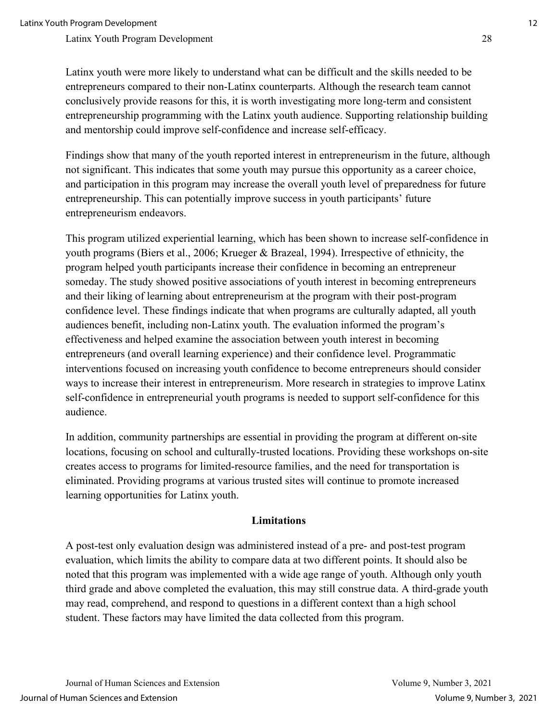Latinx youth were more likely to understand what can be difficult and the skills needed to be entrepreneurs compared to their non-Latinx counterparts. Although the research team cannot conclusively provide reasons for this, it is worth investigating more long-term and consistent entrepreneurship programming with the Latinx youth audience. Supporting relationship building and mentorship could improve self-confidence and increase self-efficacy.

Findings show that many of the youth reported interest in entrepreneurism in the future, although not significant. This indicates that some youth may pursue this opportunity as a career choice, and participation in this program may increase the overall youth level of preparedness for future entrepreneurship. This can potentially improve success in youth participants' future entrepreneurism endeavors.

This program utilized experiential learning, which has been shown to increase self-confidence in youth programs (Biers et al., 2006; Krueger & Brazeal, 1994). Irrespective of ethnicity, the program helped youth participants increase their confidence in becoming an entrepreneur someday. The study showed positive associations of youth interest in becoming entrepreneurs and their liking of learning about entrepreneurism at the program with their post-program confidence level. These findings indicate that when programs are culturally adapted, all youth audiences benefit, including non-Latinx youth. The evaluation informed the program's effectiveness and helped examine the association between youth interest in becoming entrepreneurs (and overall learning experience) and their confidence level. Programmatic interventions focused on increasing youth confidence to become entrepreneurs should consider ways to increase their interest in entrepreneurism. More research in strategies to improve Latinx self-confidence in entrepreneurial youth programs is needed to support self-confidence for this audience.

In addition, community partnerships are essential in providing the program at different on-site locations, focusing on school and culturally-trusted locations. Providing these workshops on-site creates access to programs for limited-resource families, and the need for transportation is eliminated. Providing programs at various trusted sites will continue to promote increased learning opportunities for Latinx youth.

### **Limitations**

A post-test only evaluation design was administered instead of a pre- and post-test program evaluation, which limits the ability to compare data at two different points. It should also be noted that this program was implemented with a wide age range of youth. Although only youth third grade and above completed the evaluation, this may still construe data. A third-grade youth may read, comprehend, and respond to questions in a different context than a high school student. These factors may have limited the data collected from this program.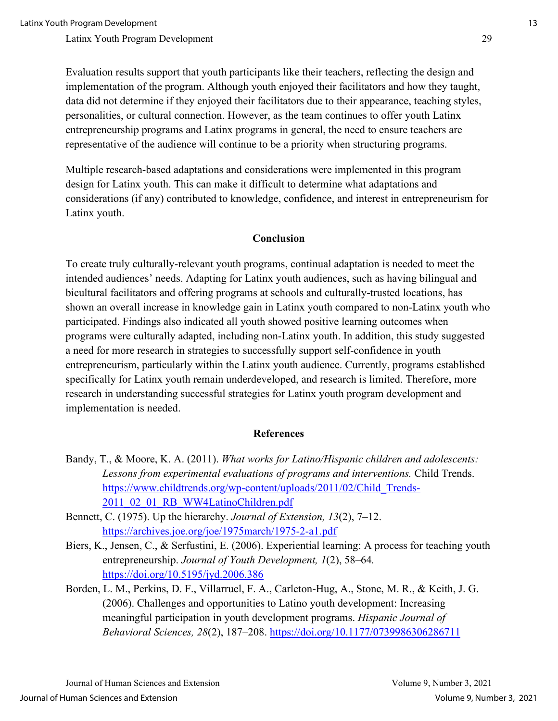Evaluation results support that youth participants like their teachers, reflecting the design and implementation of the program. Although youth enjoyed their facilitators and how they taught, data did not determine if they enjoyed their facilitators due to their appearance, teaching styles, personalities, or cultural connection. However, as the team continues to offer youth Latinx entrepreneurship programs and Latinx programs in general, the need to ensure teachers are representative of the audience will continue to be a priority when structuring programs.

Multiple research-based adaptations and considerations were implemented in this program design for Latinx youth. This can make it difficult to determine what adaptations and considerations (if any) contributed to knowledge, confidence, and interest in entrepreneurism for Latinx youth.

#### **Conclusion**

To create truly culturally-relevant youth programs, continual adaptation is needed to meet the intended audiences' needs. Adapting for Latinx youth audiences, such as having bilingual and bicultural facilitators and offering programs at schools and culturally-trusted locations, has shown an overall increase in knowledge gain in Latinx youth compared to non-Latinx youth who participated. Findings also indicated all youth showed positive learning outcomes when programs were culturally adapted, including non-Latinx youth. In addition, this study suggested a need for more research in strategies to successfully support self-confidence in youth entrepreneurism, particularly within the Latinx youth audience. Currently, programs established specifically for Latinx youth remain underdeveloped, and research is limited. Therefore, more research in understanding successful strategies for Latinx youth program development and implementation is needed.

#### **References**

- Bandy, T., & Moore, K. A. (2011). *What works for Latino/Hispanic children and adolescents: Lessons from experimental evaluations of programs and interventions.* Child Trends. [https://www.childtrends.org/wp-content/uploads/2011/02/Child\\_Trends-](https://www.childtrends.org/wp-content/uploads/2011/02/Child_Trends-2011_02_01_RB_WW4LatinoChildren.pdf)[2011\\_02\\_01\\_RB\\_WW4LatinoChildren.pdf](https://www.childtrends.org/wp-content/uploads/2011/02/Child_Trends-2011_02_01_RB_WW4LatinoChildren.pdf)
- Bennett, C. (1975). Up the hierarchy. *Journal of Extension, 13*(2), 7–12. <https://archives.joe.org/joe/1975march/1975-2-a1.pdf>
- Biers, K., Jensen, C., & Serfustini, E. (2006). Experiential learning: A process for teaching youth entrepreneurship. *Journal of Youth Development, 1*(2), 58–64*.*  <https://doi.org/10.5195/jyd.2006.386>
- Borden, L. M., Perkins, D. F., Villarruel, F. A., Carleton-Hug, A., Stone, M. R., & Keith, J. G. (2006). Challenges and opportunities to Latino youth development: Increasing meaningful participation in youth development programs. *Hispanic Journal of Behavioral Sciences, 28*(2), 187–208.<https://doi.org/10.1177/0739986306286711>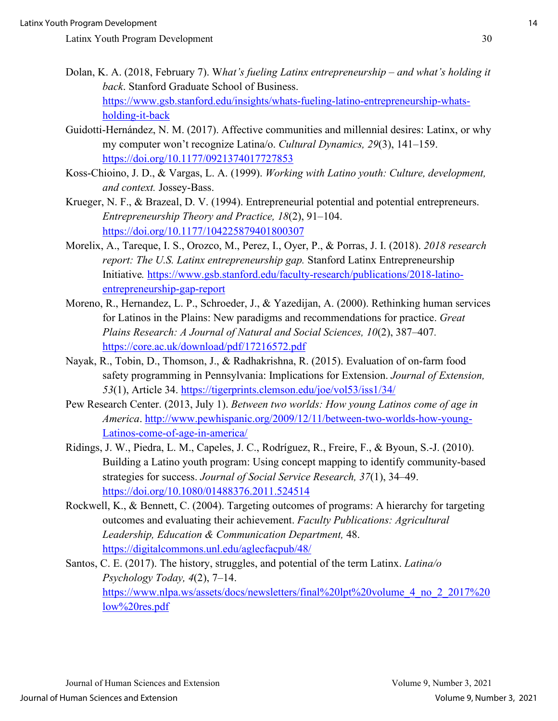- Dolan, K. A. (2018, February 7). W*hat's fueling Latinx entrepreneurship and what's holding it back*. Stanford Graduate School of Business. [https://www.gsb.stanford.edu/insights/whats-fueling-latino-entrepreneurship-whats](https://www.gsb.stanford.edu/insights/whats-fueling-latino-entrepreneurship-whats-holding-it-back)[holding-it-back](https://www.gsb.stanford.edu/insights/whats-fueling-latino-entrepreneurship-whats-holding-it-back)
- Guidotti-Hernández, N. M. (2017). Affective communities and millennial desires: Latinx, or why my computer won't recognize Latina/o. *Cultural Dynamics, 29*(3), 141–159. <https://doi.org/10.1177/0921374017727853>
- Koss-Chioino, J. D., & Vargas, L. A. (1999). *Working with Latino youth: Culture, development, and context.* Jossey-Bass.
- Krueger, N. F., & Brazeal, D. V. (1994). Entrepreneurial potential and potential entrepreneurs. *Entrepreneurship Theory and Practice, 18*(2), 91–104. <https://doi.org/10.1177/104225879401800307>
- Morelix, A., Tareque, I. S., Orozco, M., Perez, I., Oyer, P., & Porras, J. I. (2018). *2018 research report: The U.S. Latinx entrepreneurship gap.* Stanford Latinx Entrepreneurship Initiative*.* [https://www.gsb.stanford.edu/faculty-research/publications/2018-latino](https://www.gsb.stanford.edu/faculty-research/publications/2018-latino-entrepreneurship-gap-report)[entrepreneurship-gap-report](https://www.gsb.stanford.edu/faculty-research/publications/2018-latino-entrepreneurship-gap-report)
- Moreno, R., Hernandez, L. P., Schroeder, J., & Yazedijan, A. (2000). Rethinking human services for Latinos in the Plains: New paradigms and recommendations for practice. *Great Plains Research: A Journal of Natural and Social Sciences, 10*(2), 387–407*.* <https://core.ac.uk/download/pdf/17216572.pdf>
- Nayak, R., Tobin, D., Thomson, J., & Radhakrishna, R. (2015). Evaluation of on-farm food safety programming in Pennsylvania: Implications for Extension. *Journal of Extension, 53*(1), Article 34.<https://tigerprints.clemson.edu/joe/vol53/iss1/34/>
- Pew Research Center. (2013, July 1). *Between two worlds: How young Latinos come of age in America*. [http://www.pewhispanic.org/2009/12/11/between-two-worlds-how-young-](http://www.pewhispanic.org/2009/12/11/between-two-worlds-how-young-Latinos-come-of-age-in-america/)[Latinos-come-of-age-in-america/](http://www.pewhispanic.org/2009/12/11/between-two-worlds-how-young-Latinos-come-of-age-in-america/)
- Ridings, J. W., Piedra, L. M., Capeles, J. C., Rodríguez, R., Freire, F., & Byoun, S.-J. (2010). Building a Latino youth program: Using concept mapping to identify community-based strategies for success. *Journal of Social Service Research, 37*(1), 34–49. <https://doi.org/10.1080/01488376.2011.524514>
- Rockwell, K., & Bennett, C. (2004). Targeting outcomes of programs: A hierarchy for targeting outcomes and evaluating their achievement. *Faculty Publications: Agricultural Leadership, Education & Communication Department,* 48. <https://digitalcommons.unl.edu/aglecfacpub/48/>
- Santos, C. E. (2017). The history, struggles, and potential of the term Latinx. *Latina/o Psychology Today, 4*(2), 7–14. [https://www.nlpa.ws/assets/docs/newsletters/final%20lpt%20volume\\_4\\_no\\_2\\_2017%20](https://www.nlpa.ws/assets/docs/newsletters/final%20lpt%20volume_4_no_2_2017%20low%20res.pdf) [low%20res.pdf](https://www.nlpa.ws/assets/docs/newsletters/final%20lpt%20volume_4_no_2_2017%20low%20res.pdf)